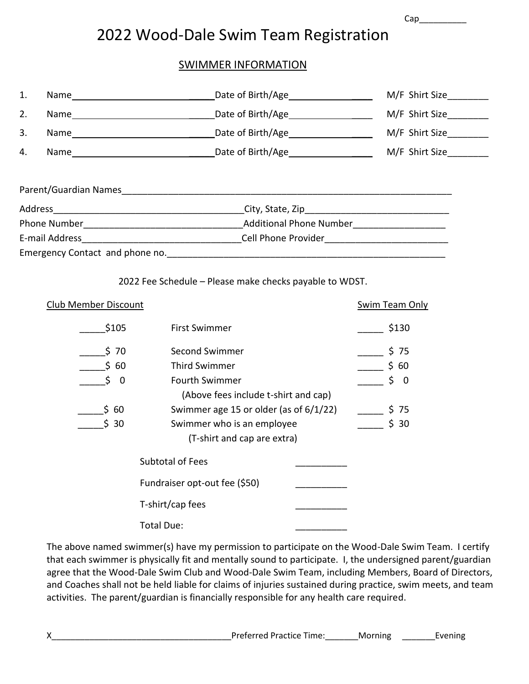Cap\_\_\_\_\_\_\_\_\_\_

## 2022 Wood-Dale Swim Team Registration

## SWIMMER INFORMATION

| 1. |                               | Date of Birth/Age Leaden Mate Contains                        | M/F Shirt Size      |
|----|-------------------------------|---------------------------------------------------------------|---------------------|
| 2. |                               |                                                               | M/F Shirt Size      |
| 3. |                               |                                                               | M/F Shirt Size      |
| 4. |                               |                                                               | M/F Shirt Size      |
|    |                               |                                                               |                     |
|    |                               |                                                               |                     |
|    |                               |                                                               |                     |
|    |                               |                                                               |                     |
|    |                               |                                                               |                     |
|    | <b>Club Member Discount</b>   | 2022 Fee Schedule - Please make checks payable to WDST.       | Swim Team Only      |
|    | \$105                         | <b>First Swimmer</b>                                          | $\frac{1}{2}$ \$130 |
|    | $\frac{1}{2}$ 70              | <b>Second Swimmer</b>                                         | $\frac{1}{2}$ \$ 75 |
|    | \$60                          | <b>Third Swimmer</b>                                          | $\frac{1}{2}$ \$ 60 |
|    | $\ddot{\rm{5}}$ 0             | <b>Fourth Swimmer</b><br>(Above fees include t-shirt and cap) | $\frac{1}{2}$ \$ 0  |
|    | \$60                          | Swimmer age 15 or older (as of $6/1/22$ )                     | $\frac{1}{2}$ \$ 75 |
|    | \$30                          | Swimmer who is an employee                                    | \$30                |
|    |                               | (T-shirt and cap are extra)                                   |                     |
|    |                               | <b>Subtotal of Fees</b>                                       |                     |
|    | Fundraiser opt-out fee (\$50) |                                                               |                     |
|    |                               | T-shirt/cap fees                                              |                     |
|    |                               | Total Due:                                                    |                     |
|    |                               |                                                               |                     |

The above named swimmer(s) have my permission to participate on the Wood-Dale Swim Team. I certify that each swimmer is physically fit and mentally sound to participate. I, the undersigned parent/guardian agree that the Wood-Dale Swim Club and Wood-Dale Swim Team, including Members, Board of Directors, and Coaches shall not be held liable for claims of injuries sustained during practice, swim meets, and team activities. The parent/guardian is financially responsible for any health care required.